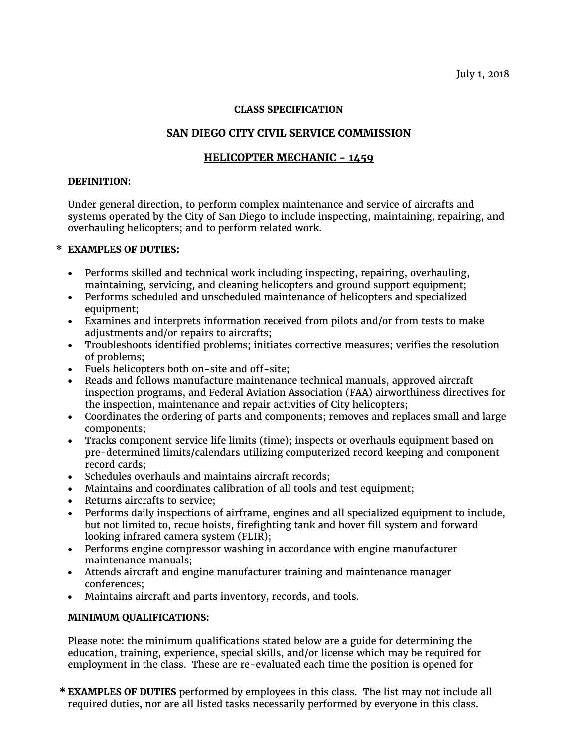### **CLASS SPECIFICATION**

# **SAN DIEGO CITY CIVIL SERVICE COMMISSION**

## **HELICOPTER MECHANIC - 1459**

#### **DEFINITION:**

Under general direction, to perform complex maintenance and service of aircrafts and systems operated by the City of San Diego to include inspecting, maintaining, repairing, and overhauling helicopters; and to perform related work.

#### **\* EXAMPLES OF DUTIES:**

- Performs skilled and technical work including inspecting, repairing, overhauling, maintaining, servicing, and cleaning helicopters and ground support equipment;
- Performs scheduled and unscheduled maintenance of helicopters and specialized equipment;
- Examines and interprets information received from pilots and/or from tests to make adjustments and/or repairs to aircrafts;
- Troubleshoots identified problems; initiates corrective measures; verifies the resolution of problems;
- Fuels helicopters both on-site and off-site;
- Reads and follows manufacture maintenance technical manuals, approved aircraft inspection programs, and Federal Aviation Association (FAA) airworthiness directives for the inspection, maintenance and repair activities of City helicopters;
- Coordinates the ordering of parts and components; removes and replaces small and large components;
- Tracks component service life limits (time); inspects or overhauls equipment based on pre-determined limits/calendars utilizing computerized record keeping and component record cards;
- Schedules overhauls and maintains aircraft records;
- Maintains and coordinates calibration of all tools and test equipment;
- Returns aircrafts to service;
- Performs daily inspections of airframe, engines and all specialized equipment to include, but not limited to, recue hoists, firefighting tank and hover fill system and forward looking infrared camera system (FLIR);
- Performs engine compressor washing in accordance with engine manufacturer maintenance manuals;
- Attends aircraft and engine manufacturer training and maintenance manager conferences;
- Maintains aircraft and parts inventory, records, and tools.

#### **MINIMUM QUALIFICATIONS:**

Please note: the minimum qualifications stated below are a guide for determining the education, training, experience, special skills, and/or license which may be required for employment in the class. These are re-evaluated each time the position is opened for

**\* EXAMPLES OF DUTIES** performed by employees in this class. The list may not include all required duties, nor are all listed tasks necessarily performed by everyone in this class.